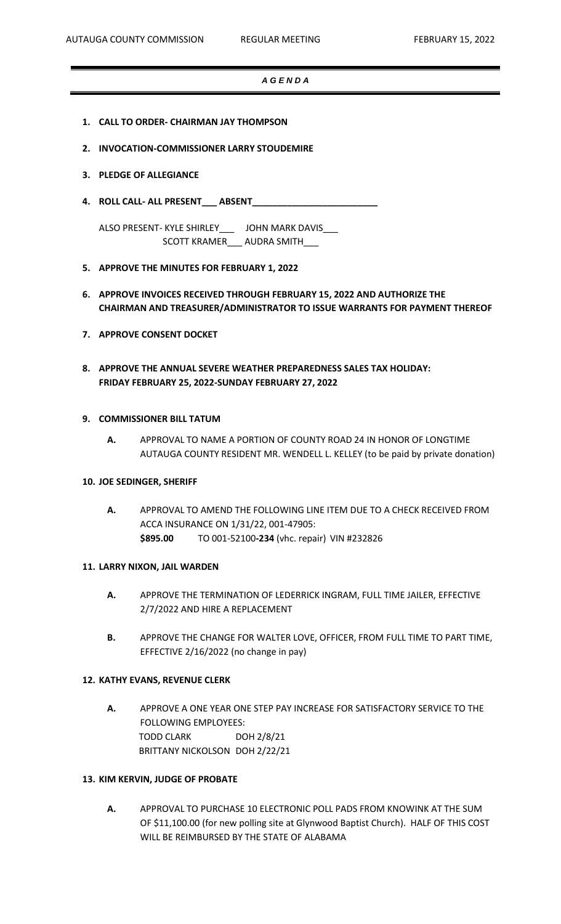# *A G E N D A*

- **1. CALL TO ORDER- CHAIRMAN JAY THOMPSON**
- **2. INVOCATION-COMMISSIONER LARRY STOUDEMIRE**
- **3. PLEDGE OF ALLEGIANCE**
- **4. ROLL CALL- ALL PRESENT\_\_\_ ABSENT\_\_\_\_\_\_\_\_\_\_\_\_\_\_\_\_\_\_\_\_\_\_\_\_\_**

ALSO PRESENT- KYLE SHIRLEY\_\_\_ JOHN MARK DAVIS\_\_\_ SCOTT KRAMER\_\_\_ AUDRA SMITH\_\_\_

- **5. APPROVE THE MINUTES FOR FEBRUARY 1, 2022**
- **6. APPROVE INVOICES RECEIVED THROUGH FEBRUARY 15, 2022 AND AUTHORIZE THE CHAIRMAN AND TREASURER/ADMINISTRATOR TO ISSUE WARRANTS FOR PAYMENT THEREOF**
- **7. APPROVE CONSENT DOCKET**
- **8. APPROVE THE ANNUAL SEVERE WEATHER PREPAREDNESS SALES TAX HOLIDAY: FRIDAY FEBRUARY 25, 2022-SUNDAY FEBRUARY 27, 2022**

## **9. COMMISSIONER BILL TATUM**

**A.** APPROVAL TO NAME A PORTION OF COUNTY ROAD 24 IN HONOR OF LONGTIME AUTAUGA COUNTY RESIDENT MR. WENDELL L. KELLEY (to be paid by private donation)

## **10. JOE SEDINGER, SHERIFF**

**A.** APPROVAL TO AMEND THE FOLLOWING LINE ITEM DUE TO A CHECK RECEIVED FROM ACCA INSURANCE ON 1/31/22, 001-47905: **\$895.00** TO 001-52100**-234** (vhc. repair) VIN #232826

#### **11. LARRY NIXON, JAIL WARDEN**

- **A.** APPROVE THE TERMINATION OF LEDERRICK INGRAM, FULL TIME JAILER, EFFECTIVE 2/7/2022 AND HIRE A REPLACEMENT
- **B.** APPROVE THE CHANGE FOR WALTER LOVE, OFFICER, FROM FULL TIME TO PART TIME, EFFECTIVE 2/16/2022 (no change in pay)

#### **12. KATHY EVANS, REVENUE CLERK**

**A.** APPROVE A ONE YEAR ONE STEP PAY INCREASE FOR SATISFACTORY SERVICE TO THE FOLLOWING EMPLOYEES: TODD CLARK DOH 2/8/21 BRITTANY NICKOLSON DOH 2/22/21

#### **13. KIM KERVIN, JUDGE OF PROBATE**

**A.** APPROVAL TO PURCHASE 10 ELECTRONIC POLL PADS FROM KNOWINK AT THE SUM OF \$11,100.00 (for new polling site at Glynwood Baptist Church). HALF OF THIS COST WILL BE REIMBURSED BY THE STATE OF ALABAMA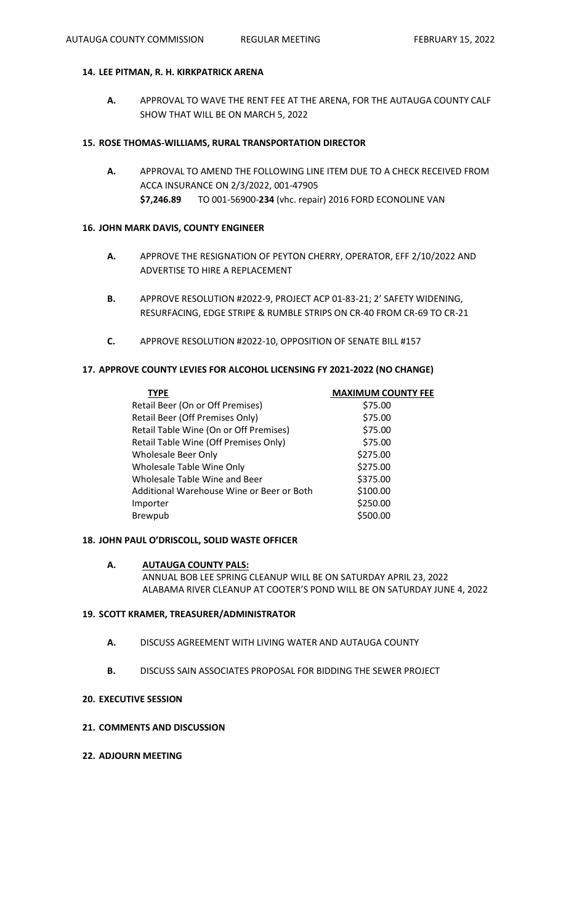# **14. LEE PITMAN, R. H. KIRKPATRICK ARENA**

**A.** APPROVAL TO WAVE THE RENT FEE AT THE ARENA, FOR THE AUTAUGA COUNTY CALF SHOW THAT WILL BE ON MARCH 5, 2022

#### **15. ROSE THOMAS-WILLIAMS, RURAL TRANSPORTATION DIRECTOR**

**A.** APPROVAL TO AMEND THE FOLLOWING LINE ITEM DUE TO A CHECK RECEIVED FROM ACCA INSURANCE ON 2/3/2022, 001-47905 **\$7,246.89** TO 001-56900-**234** (vhc. repair) 2016 FORD ECONOLINE VAN

# **16. JOHN MARK DAVIS, COUNTY ENGINEER**

- **A.** APPROVE THE RESIGNATION OF PEYTON CHERRY, OPERATOR, EFF 2/10/2022 AND ADVERTISE TO HIRE A REPLACEMENT
- **B.** APPROVE RESOLUTION #2022-9, PROJECT ACP 01-83-21; 2' SAFETY WIDENING, RESURFACING, EDGE STRIPE & RUMBLE STRIPS ON CR-40 FROM CR-69 TO CR-21
- **C.** APPROVE RESOLUTION #2022-10, OPPOSITION OF SENATE BILL #157

# **17. APPROVE COUNTY LEVIES FOR ALCOHOL LICENSING FY 2021-2022 (NO CHANGE)**

| <b>TYPE</b>                               | <b>MAXIMUM COUNTY FEE</b> |
|-------------------------------------------|---------------------------|
| Retail Beer (On or Off Premises)          | \$75.00                   |
| Retail Beer (Off Premises Only)           | \$75.00                   |
| Retail Table Wine (On or Off Premises)    | \$75.00                   |
| Retail Table Wine (Off Premises Only)     | \$75.00                   |
| <b>Wholesale Beer Only</b>                | \$275.00                  |
| Wholesale Table Wine Only                 | \$275.00                  |
| Wholesale Table Wine and Beer             | \$375.00                  |
| Additional Warehouse Wine or Beer or Both | \$100.00                  |
| Importer                                  | \$250.00                  |
| Brewpub                                   | \$500.00                  |

# **18. JOHN PAUL O'DRISCOLL, SOLID WASTE OFFICER**

# **A. AUTAUGA COUNTY PALS:** ANNUAL BOB LEE SPRING CLEANUP WILL BE ON SATURDAY APRIL 23, 2022 ALABAMA RIVER CLEANUP AT COOTER'S POND WILL BE ON SATURDAY JUNE 4, 2022

#### **19. SCOTT KRAMER, TREASURER/ADMINISTRATOR**

- **A.** DISCUSS AGREEMENT WITH LIVING WATER AND AUTAUGA COUNTY
- **B.** DISCUSS SAIN ASSOCIATES PROPOSAL FOR BIDDING THE SEWER PROJECT

#### **20. EXECUTIVE SESSION**

# **21. COMMENTS AND DISCUSSION**

**22. ADJOURN MEETING**